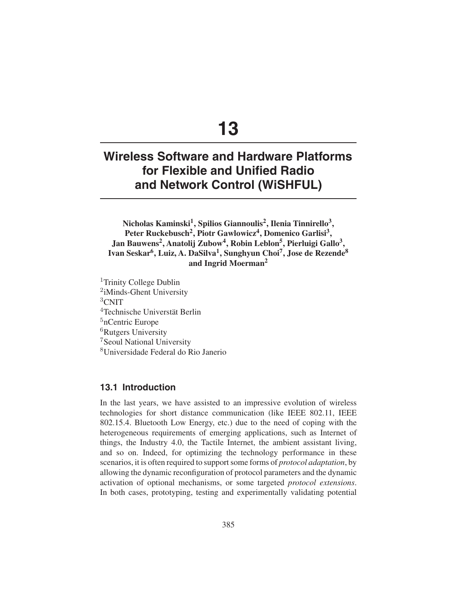# **13**

## **Wireless Software and Hardware Platforms for Flexible and Unified Radio and Network Control (WiSHFUL)**

**Nicholas Kaminski1, Spilios Giannoulis2, Ilenia Tinnirello3,** Peter Ruckebusch<sup>2</sup>, Piotr Gawlowicz<sup>4</sup>, Domenico Garlisi<sup>3</sup>, **Jan Bauwens2, Anatolij Zubow4, Robin Leblon5, Pierluigi Gallo3, Ivan Seskar6, Luiz, A. DaSilva1, Sunghyun Choi7, Jose de Rezende8 and Ingrid Moerman2**

<sup>1</sup>Trinity College Dublin iMinds-Ghent University <sup>3</sup>CNIT Technische Universtät Berlin nCentric Europe <sup>6</sup>Rutgers University Seoul National University Universidade Federal do Rio Janerio

## **13.1 Introduction**

In the last years, we have assisted to an impressive evolution of wireless technologies for short distance communication (like IEEE 802.11, IEEE 802.15.4. Bluetooth Low Energy, etc.) due to the need of coping with the heterogeneous requirements of emerging applications, such as Internet of things, the Industry 4.0, the Tactile Internet, the ambient assistant living, and so on. Indeed, for optimizing the technology performance in these scenarios, it is often required to support some forms of *protocol adaptation*, by allowing the dynamic reconfiguration of protocol parameters and the dynamic activation of optional mechanisms, or some targeted *protocol extensions*. In both cases, prototyping, testing and experimentally validating potential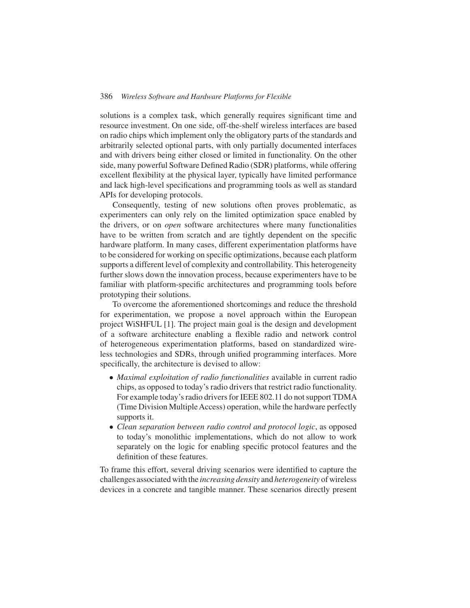solutions is a complex task, which generally requires significant time and resource investment. On one side, off-the-shelf wireless interfaces are based on radio chips which implement only the obligatory parts of the standards and arbitrarily selected optional parts, with only partially documented interfaces and with drivers being either closed or limited in functionality. On the other side, many powerful Software Defined Radio (SDR) platforms, while offering excellent flexibility at the physical layer, typically have limited performance and lack high-level specifications and programming tools as well as standard APIs for developing protocols.

Consequently, testing of new solutions often proves problematic, as experimenters can only rely on the limited optimization space enabled by the drivers, or on *open* software architectures where many functionalities have to be written from scratch and are tightly dependent on the specific hardware platform. In many cases, different experimentation platforms have to be considered for working on specific optimizations, because each platform supports a different level of complexity and controllability. This heterogeneity further slows down the innovation process, because experimenters have to be familiar with platform-specific architectures and programming tools before prototyping their solutions.

To overcome the aforementioned shortcomings and reduce the threshold for experimentation, we propose a novel approach within the European project WiSHFUL [1]. The project main goal is the design and development of a software architecture enabling a flexible radio and network control of heterogeneous experimentation platforms, based on standardized wireless technologies and SDRs, through unified programming interfaces. More specifically, the architecture is devised to allow:

- *Maximal exploitation of radio functionalities* available in current radio chips, as opposed to today's radio drivers that restrict radio functionality. For example today's radio drivers for IEEE 802.11 do not support TDMA (Time Division Multiple Access) operation, while the hardware perfectly supports it.
- *Clean separation between radio control and protocol logic*, as opposed to today's monolithic implementations, which do not allow to work separately on the logic for enabling specific protocol features and the definition of these features.

To frame this effort, several driving scenarios were identified to capture the challenges associated with the *increasing density* and *heterogeneity* of wireless devices in a concrete and tangible manner. These scenarios directly present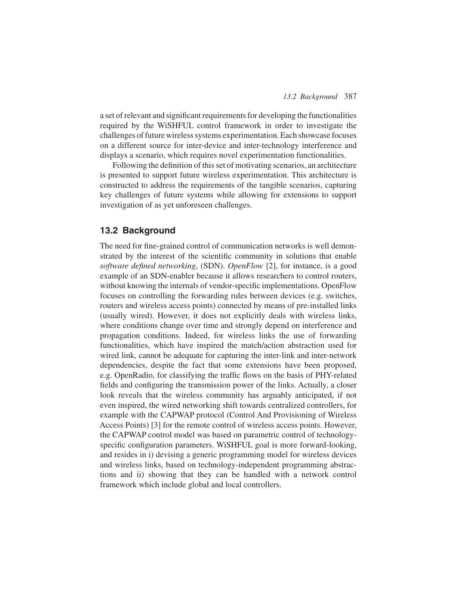a set of relevant and significant requirements for developing the functionalities required by the WiSHFUL control framework in order to investigate the challenges of future wireless systems experimentation. Each showcase focuses on a different source for inter-device and inter-technology interference and displays a scenario, which requires novel experimentation functionalities.

Following the definition of this set of motivating scenarios, an architecture is presented to support future wireless experimentation. This architecture is constructed to address the requirements of the tangible scenarios, capturing key challenges of future systems while allowing for extensions to support investigation of as yet unforeseen challenges.

## **13.2 Background**

The need for fine-grained control of communication networks is well demonstrated by the interest of the scientific community in solutions that enable *software defined networking*, (SDN). *OpenFlow* [2], for instance, is a good example of an SDN-enabler because it allows researchers to control routers, without knowing the internals of vendor-specific implementations. OpenFlow focuses on controlling the forwarding rules between devices (e.g. switches, routers and wireless access points) connected by means of pre-installed links (usually wired). However, it does not explicitly deals with wireless links, where conditions change over time and strongly depend on interference and propagation conditions. Indeed, for wireless links the use of forwarding functionalities, which have inspired the match/action abstraction used for wired link, cannot be adequate for capturing the inter-link and inter-network dependencies, despite the fact that some extensions have been proposed, e.g. OpenRadio, for classifying the traffic flows on the basis of PHY-related fields and configuring the transmission power of the links. Actually, a closer look reveals that the wireless community has arguably anticipated, if not even inspired, the wired networking shift towards centralized controllers, for example with the CAPWAP protocol (Control And Provisioning of Wireless Access Points) [3] for the remote control of wireless access points. However, the CAPWAP control model was based on parametric control of technologyspecific configuration parameters. WiSHFUL goal is more forward-looking, and resides in i) devising a generic programming model for wireless devices and wireless links, based on technology-independent programming abstractions and ii) showing that they can be handled with a network control framework which include global and local controllers.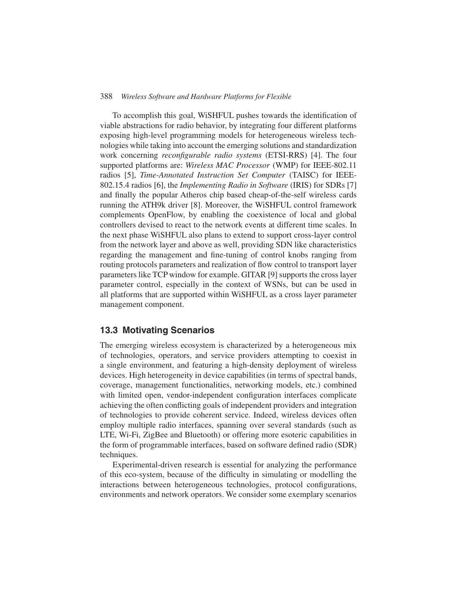To accomplish this goal, WiSHFUL pushes towards the identification of viable abstractions for radio behavior, by integrating four different platforms exposing high-level programming models for heterogeneous wireless technologies while taking into account the emerging solutions and standardization work concerning *reconfigurable radio systems* (ETSI-RRS) [4]. The four supported platforms are: *Wireless MAC Processor* (WMP) for IEEE-802.11 radios [5], *Time-Annotated Instruction Set Computer* (TAISC) for IEEE-802.15.4 radios [6], the *Implementing Radio in Software* (IRIS) for SDRs [7] and finally the popular Atheros chip based cheap-of-the-self wireless cards running the ATH9k driver [8]. Moreover, the WiSHFUL control framework complements OpenFlow, by enabling the coexistence of local and global controllers devised to react to the network events at different time scales. In the next phase WiSHFUL also plans to extend to support cross-layer control from the network layer and above as well, providing SDN like characteristics regarding the management and fine-tuning of control knobs ranging from routing protocols parameters and realization of flow control to transport layer parameters like TCP window for example. GITAR [9] supports the cross layer parameter control, especially in the context of WSNs, but can be used in all platforms that are supported within WiSHFUL as a cross layer parameter management component.

## **13.3 Motivating Scenarios**

The emerging wireless ecosystem is characterized by a heterogeneous mix of technologies, operators, and service providers attempting to coexist in a single environment, and featuring a high-density deployment of wireless devices. High heterogeneity in device capabilities (in terms of spectral bands, coverage, management functionalities, networking models, etc.) combined with limited open, vendor-independent configuration interfaces complicate achieving the often conflicting goals of independent providers and integration of technologies to provide coherent service. Indeed, wireless devices often employ multiple radio interfaces, spanning over several standards (such as LTE, Wi-Fi, ZigBee and Bluetooth) or offering more esoteric capabilities in the form of programmable interfaces, based on software defined radio (SDR) techniques.

Experimental-driven research is essential for analyzing the performance of this eco-system, because of the difficulty in simulating or modelling the interactions between heterogeneous technologies, protocol configurations, environments and network operators. We consider some exemplary scenarios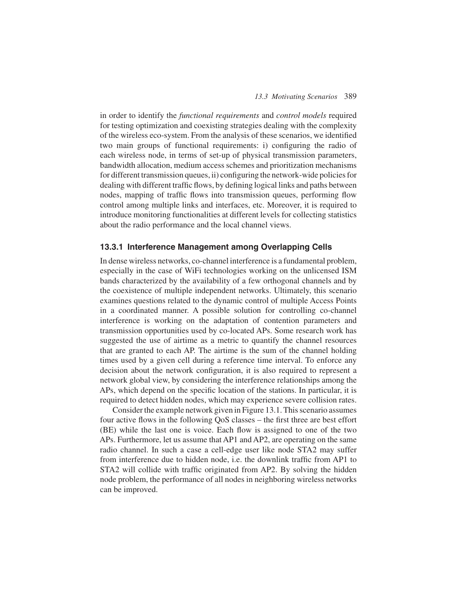in order to identify the *functional requirements* and *control models* required for testing optimization and coexisting strategies dealing with the complexity of the wireless eco-system. From the analysis of these scenarios, we identified two main groups of functional requirements: i) configuring the radio of each wireless node, in terms of set-up of physical transmission parameters, bandwidth allocation, medium access schemes and prioritization mechanisms for different transmission queues, ii) configuring the network-wide policies for dealing with different traffic flows, by defining logical links and paths between nodes, mapping of traffic flows into transmission queues, performing flow control among multiple links and interfaces, etc. Moreover, it is required to introduce monitoring functionalities at different levels for collecting statistics about the radio performance and the local channel views.

#### **13.3.1 Interference Management among Overlapping Cells**

In dense wireless networks, co-channel interference is a fundamental problem, especially in the case of WiFi technologies working on the unlicensed ISM bands characterized by the availability of a few orthogonal channels and by the coexistence of multiple independent networks. Ultimately, this scenario examines questions related to the dynamic control of multiple Access Points in a coordinated manner. A possible solution for controlling co-channel interference is working on the adaptation of contention parameters and transmission opportunities used by co-located APs. Some research work has suggested the use of airtime as a metric to quantify the channel resources that are granted to each AP. The airtime is the sum of the channel holding times used by a given cell during a reference time interval. To enforce any decision about the network configuration, it is also required to represent a network global view, by considering the interference relationships among the APs, which depend on the specific location of the stations. In particular, it is required to detect hidden nodes, which may experience severe collision rates.

Consider the example network given in Figure 13.1. This scenario assumes four active flows in the following QoS classes – the first three are best effort (BE) while the last one is voice. Each flow is assigned to one of the two APs. Furthermore, let us assume that AP1 and AP2, are operating on the same radio channel. In such a case a cell-edge user like node STA2 may suffer from interference due to hidden node, i.e. the downlink traffic from AP1 to STA2 will collide with traffic originated from AP2. By solving the hidden node problem, the performance of all nodes in neighboring wireless networks can be improved.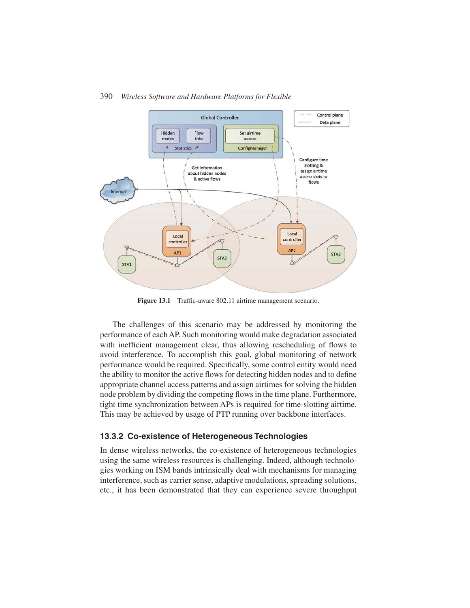

**Figure 13.1** Traffic-aware 802.11 airtime management scenario.

The challenges of this scenario may be addressed by monitoring the performance of each AP. Such monitoring would make degradation associated with inefficient management clear, thus allowing rescheduling of flows to avoid interference. To accomplish this goal, global monitoring of network performance would be required. Specifically, some control entity would need the ability to monitor the active flows for detecting hidden nodes and to define appropriate channel access patterns and assign airtimes for solving the hidden node problem by dividing the competing flows in the time plane. Furthermore, tight time synchronization between APs is required for time-slotting airtime. This may be achieved by usage of PTP running over backbone interfaces.

## **13.3.2 Co-existence of Heterogeneous Technologies**

In dense wireless networks, the co-existence of heterogeneous technologies using the same wireless resources is challenging. Indeed, although technologies working on ISM bands intrinsically deal with mechanisms for managing interference, such as carrier sense, adaptive modulations, spreading solutions, etc., it has been demonstrated that they can experience severe throughput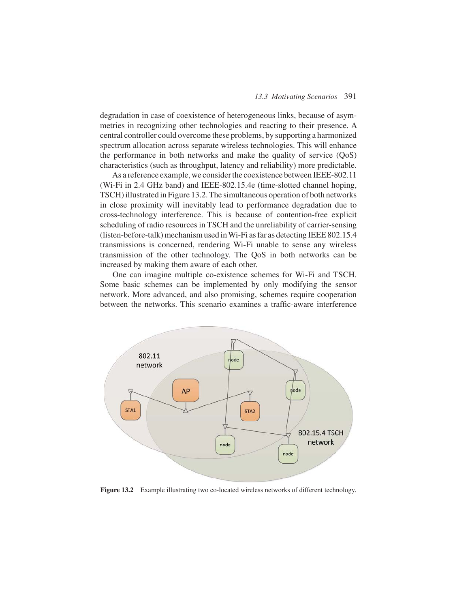degradation in case of coexistence of heterogeneous links, because of asymmetries in recognizing other technologies and reacting to their presence. A central controller could overcome these problems, by supporting a harmonized spectrum allocation across separate wireless technologies. This will enhance the performance in both networks and make the quality of service (QoS) characteristics (such as throughput, latency and reliability) more predictable.

As a reference example, we consider the coexistence between IEEE-802.11 (Wi-Fi in 2.4 GHz band) and IEEE-802.15.4e (time-slotted channel hoping, TSCH) illustrated in Figure 13.2. The simultaneous operation of both networks in close proximity will inevitably lead to performance degradation due to cross-technology interference. This is because of contention-free explicit scheduling of radio resources in TSCH and the unreliability of carrier-sensing (listen-before-talk) mechanism used inWi-Fi as far as detecting IEEE 802.15.4 transmissions is concerned, rendering Wi-Fi unable to sense any wireless transmission of the other technology. The QoS in both networks can be increased by making them aware of each other.

One can imagine multiple co-existence schemes for Wi-Fi and TSCH. Some basic schemes can be implemented by only modifying the sensor network. More advanced, and also promising, schemes require cooperation between the networks. This scenario examines a traffic-aware interference



**Figure 13.2** Example illustrating two co-located wireless networks of different technology.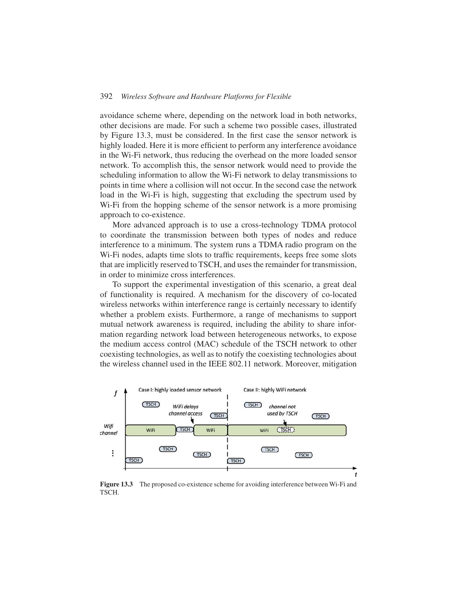avoidance scheme where, depending on the network load in both networks, other decisions are made. For such a scheme two possible cases, illustrated by Figure 13.3, must be considered. In the first case the sensor network is highly loaded. Here it is more efficient to perform any interference avoidance in the Wi-Fi network, thus reducing the overhead on the more loaded sensor network. To accomplish this, the sensor network would need to provide the scheduling information to allow the Wi-Fi network to delay transmissions to points in time where a collision will not occur. In the second case the network load in the Wi-Fi is high, suggesting that excluding the spectrum used by Wi-Fi from the hopping scheme of the sensor network is a more promising approach to co-existence.

More advanced approach is to use a cross-technology TDMA protocol to coordinate the transmission between both types of nodes and reduce interference to a minimum. The system runs a TDMA radio program on the Wi-Fi nodes, adapts time slots to traffic requirements, keeps free some slots that are implicitly reserved to TSCH, and uses the remainder for transmission, in order to minimize cross interferences.

To support the experimental investigation of this scenario, a great deal of functionality is required. A mechanism for the discovery of co-located wireless networks within interference range is certainly necessary to identify whether a problem exists. Furthermore, a range of mechanisms to support mutual network awareness is required, including the ability to share information regarding network load between heterogeneous networks, to expose the medium access control (MAC) schedule of the TSCH network to other coexisting technologies, as well as to notify the coexisting technologies about the wireless channel used in the IEEE 802.11 network. Moreover, mitigation



**Figure 13.3** The proposed co-existence scheme for avoiding interference between Wi-Fi and TSCH.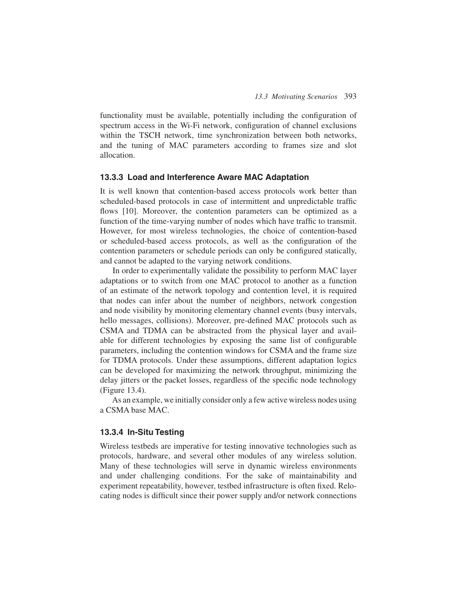functionality must be available, potentially including the configuration of spectrum access in the Wi-Fi network, configuration of channel exclusions within the TSCH network, time synchronization between both networks, and the tuning of MAC parameters according to frames size and slot allocation.

#### **13.3.3 Load and Interference Aware MAC Adaptation**

It is well known that contention-based access protocols work better than scheduled-based protocols in case of intermittent and unpredictable traffic flows [10]. Moreover, the contention parameters can be optimized as a function of the time-varying number of nodes which have traffic to transmit. However, for most wireless technologies, the choice of contention-based or scheduled-based access protocols, as well as the configuration of the contention parameters or schedule periods can only be configured statically, and cannot be adapted to the varying network conditions.

In order to experimentally validate the possibility to perform MAC layer adaptations or to switch from one MAC protocol to another as a function of an estimate of the network topology and contention level, it is required that nodes can infer about the number of neighbors, network congestion and node visibility by monitoring elementary channel events (busy intervals, hello messages, collisions). Moreover, pre-defined MAC protocols such as CSMA and TDMA can be abstracted from the physical layer and available for different technologies by exposing the same list of configurable parameters, including the contention windows for CSMA and the frame size for TDMA protocols. Under these assumptions, different adaptation logics can be developed for maximizing the network throughput, minimizing the delay jitters or the packet losses, regardless of the specific node technology (Figure 13.4).

As an example, we initially consider only a few active wireless nodes using a CSMA base MAC.

## **13.3.4 In-Situ Testing**

Wireless testbeds are imperative for testing innovative technologies such as protocols, hardware, and several other modules of any wireless solution. Many of these technologies will serve in dynamic wireless environments and under challenging conditions. For the sake of maintainability and experiment repeatability, however, testbed infrastructure is often fixed. Relocating nodes is difficult since their power supply and/or network connections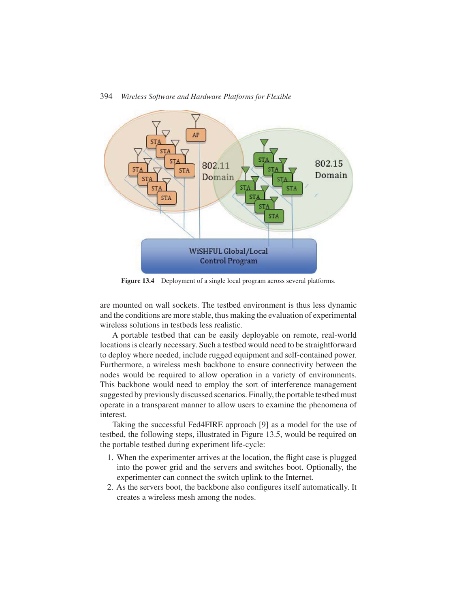

**Figure 13.4** Deployment of a single local program across several platforms.

are mounted on wall sockets. The testbed environment is thus less dynamic and the conditions are more stable, thus making the evaluation of experimental wireless solutions in testbeds less realistic.

A portable testbed that can be easily deployable on remote, real-world locations is clearly necessary. Such a testbed would need to be straightforward to deploy where needed, include rugged equipment and self-contained power. Furthermore, a wireless mesh backbone to ensure connectivity between the nodes would be required to allow operation in a variety of environments. This backbone would need to employ the sort of interference management suggested by previously discussed scenarios. Finally, the portable testbed must operate in a transparent manner to allow users to examine the phenomena of interest.

Taking the successful Fed4FIRE approach [9] as a model for the use of testbed, the following steps, illustrated in Figure 13.5, would be required on the portable testbed during experiment life-cycle:

- 1. When the experimenter arrives at the location, the flight case is plugged into the power grid and the servers and switches boot. Optionally, the experimenter can connect the switch uplink to the Internet.
- 2. As the servers boot, the backbone also configures itself automatically. It creates a wireless mesh among the nodes.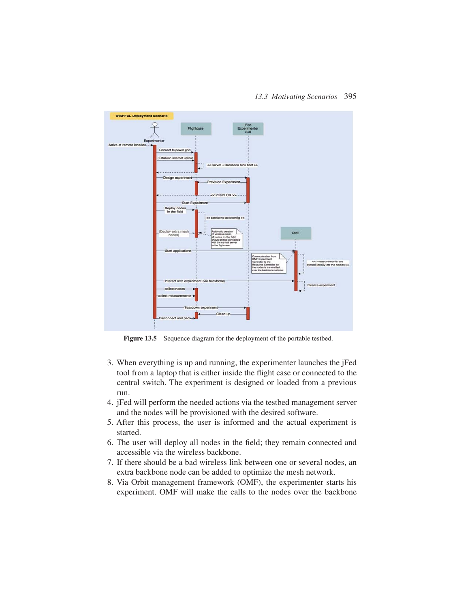

Figure 13.5 Sequence diagram for the deployment of the portable testbed.

- 3. When everything is up and running, the experimenter launches the jFed tool from a laptop that is either inside the flight case or connected to the central switch. The experiment is designed or loaded from a previous run.
- 4. jFed will perform the needed actions via the testbed management server and the nodes will be provisioned with the desired software.
- 5. After this process, the user is informed and the actual experiment is started.
- 6. The user will deploy all nodes in the field; they remain connected and accessible via the wireless backbone.
- 7. If there should be a bad wireless link between one or several nodes, an extra backbone node can be added to optimize the mesh network.
- 8. Via Orbit management framework (OMF), the experimenter starts his experiment. OMF will make the calls to the nodes over the backbone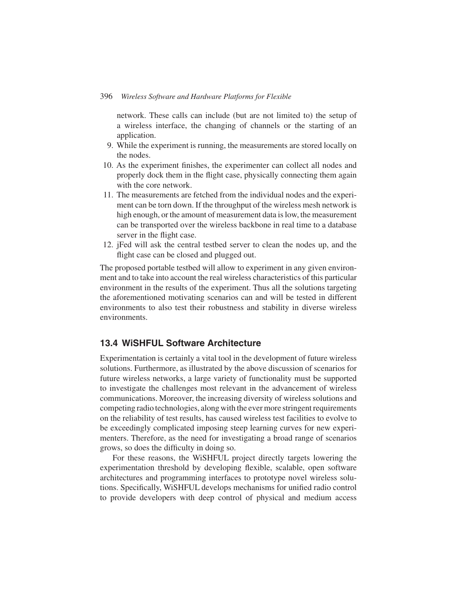network. These calls can include (but are not limited to) the setup of a wireless interface, the changing of channels or the starting of an application.

- 9. While the experiment is running, the measurements are stored locally on the nodes.
- 10. As the experiment finishes, the experimenter can collect all nodes and properly dock them in the flight case, physically connecting them again with the core network.
- 11. The measurements are fetched from the individual nodes and the experiment can be torn down. If the throughput of the wireless mesh network is high enough, or the amount of measurement data is low, the measurement can be transported over the wireless backbone in real time to a database server in the flight case.
- 12. jFed will ask the central testbed server to clean the nodes up, and the flight case can be closed and plugged out.

The proposed portable testbed will allow to experiment in any given environment and to take into account the real wireless characteristics of this particular environment in the results of the experiment. Thus all the solutions targeting the aforementioned motivating scenarios can and will be tested in different environments to also test their robustness and stability in diverse wireless environments.

## **13.4 WiSHFUL Software Architecture**

Experimentation is certainly a vital tool in the development of future wireless solutions. Furthermore, as illustrated by the above discussion of scenarios for future wireless networks, a large variety of functionality must be supported to investigate the challenges most relevant in the advancement of wireless communications. Moreover, the increasing diversity of wireless solutions and competing radio technologies, along with the ever more stringent requirements on the reliability of test results, has caused wireless test facilities to evolve to be exceedingly complicated imposing steep learning curves for new experimenters. Therefore, as the need for investigating a broad range of scenarios grows, so does the difficulty in doing so.

For these reasons, the WiSHFUL project directly targets lowering the experimentation threshold by developing flexible, scalable, open software architectures and programming interfaces to prototype novel wireless solutions. Specifically, WiSHFUL develops mechanisms for unified radio control to provide developers with deep control of physical and medium access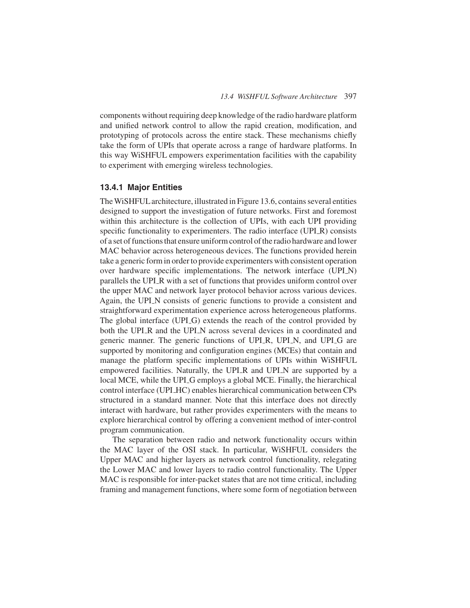components without requiring deep knowledge of the radio hardware platform and unified network control to allow the rapid creation, modification, and prototyping of protocols across the entire stack. These mechanisms chiefly take the form of UPIs that operate across a range of hardware platforms. In this way WiSHFUL empowers experimentation facilities with the capability to experiment with emerging wireless technologies.

## **13.4.1 Major Entities**

TheWiSHFUL architecture, illustrated in Figure 13.6, contains several entities designed to support the investigation of future networks. First and foremost within this architecture is the collection of UPIs, with each UPI providing specific functionality to experimenters. The radio interface (UPLR) consists of a set of functions that ensure uniform control of the radio hardware and lower MAC behavior across heterogeneous devices. The functions provided herein take a generic form in order to provide experimenters with consistent operation over hardware specific implementations. The network interface (UPLN) parallels the UPLR with a set of functions that provides uniform control over the upper MAC and network layer protocol behavior across various devices. Again, the UPLN consists of generic functions to provide a consistent and straightforward experimentation experience across heterogeneous platforms. The global interface (UPLG) extends the reach of the control provided by both the UPLR and the UPLN across several devices in a coordinated and generic manner. The generic functions of UPLR, UPLN, and UPLG are supported by monitoring and configuration engines (MCEs) that contain and manage the platform specific implementations of UPIs within WiSHFUL empowered facilities. Naturally, the UPLR and UPLN are supported by a local MCE, while the UPI<sub>-C</sub> employs a global MCE. Finally, the hierarchical control interface (UPI HC) enables hierarchical communication between CPs structured in a standard manner. Note that this interface does not directly interact with hardware, but rather provides experimenters with the means to explore hierarchical control by offering a convenient method of inter-control program communication.

The separation between radio and network functionality occurs within the MAC layer of the OSI stack. In particular, WiSHFUL considers the Upper MAC and higher layers as network control functionality, relegating the Lower MAC and lower layers to radio control functionality. The Upper MAC is responsible for inter-packet states that are not time critical, including framing and management functions, where some form of negotiation between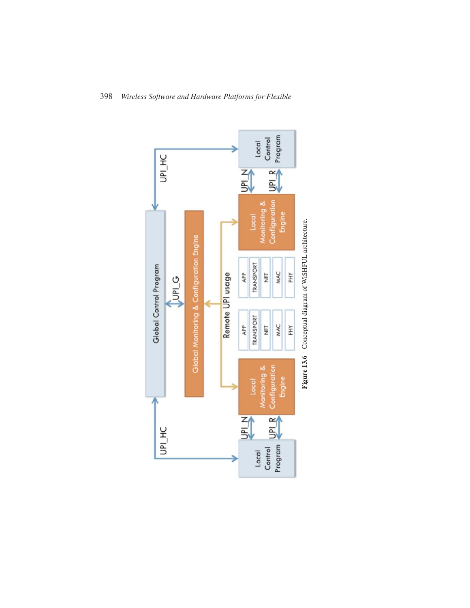

398 *Wireless Software and Hardware Platforms for Flexible*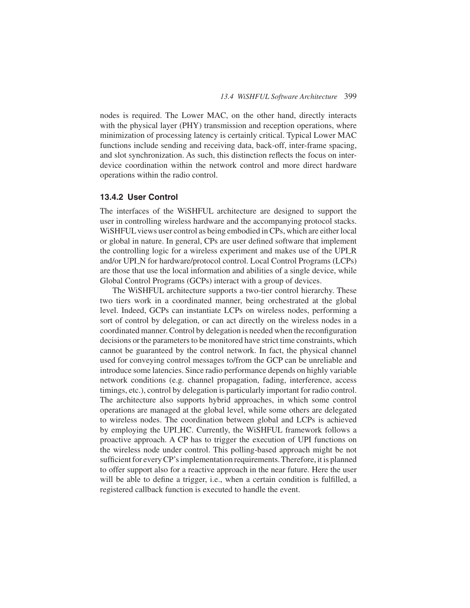nodes is required. The Lower MAC, on the other hand, directly interacts with the physical layer (PHY) transmission and reception operations, where minimization of processing latency is certainly critical. Typical Lower MAC functions include sending and receiving data, back-off, inter-frame spacing, and slot synchronization. As such, this distinction reflects the focus on interdevice coordination within the network control and more direct hardware operations within the radio control.

## **13.4.2 User Control**

The interfaces of the WiSHFUL architecture are designed to support the user in controlling wireless hardware and the accompanying protocol stacks. WiSHFUL views user control as being embodied in CPs, which are either local or global in nature. In general, CPs are user defined software that implement the controlling logic for a wireless experiment and makes use of the UPI R and/or UPI N for hardware/protocol control. Local Control Programs (LCPs) are those that use the local information and abilities of a single device, while Global Control Programs (GCPs) interact with a group of devices.

The WiSHFUL architecture supports a two-tier control hierarchy. These two tiers work in a coordinated manner, being orchestrated at the global level. Indeed, GCPs can instantiate LCPs on wireless nodes, performing a sort of control by delegation, or can act directly on the wireless nodes in a coordinated manner. Control by delegation is needed when the reconfiguration decisions or the parameters to be monitored have strict time constraints, which cannot be guaranteed by the control network. In fact, the physical channel used for conveying control messages to/from the GCP can be unreliable and introduce some latencies. Since radio performance depends on highly variable network conditions (e.g. channel propagation, fading, interference, access timings, etc.), control by delegation is particularly important for radio control. The architecture also supports hybrid approaches, in which some control operations are managed at the global level, while some others are delegated to wireless nodes. The coordination between global and LCPs is achieved by employing the UPI HC. Currently, the WiSHFUL framework follows a proactive approach. A CP has to trigger the execution of UPI functions on the wireless node under control. This polling-based approach might be not sufficient for every CP's implementation requirements. Therefore, it is planned to offer support also for a reactive approach in the near future. Here the user will be able to define a trigger, i.e., when a certain condition is fulfilled, a registered callback function is executed to handle the event.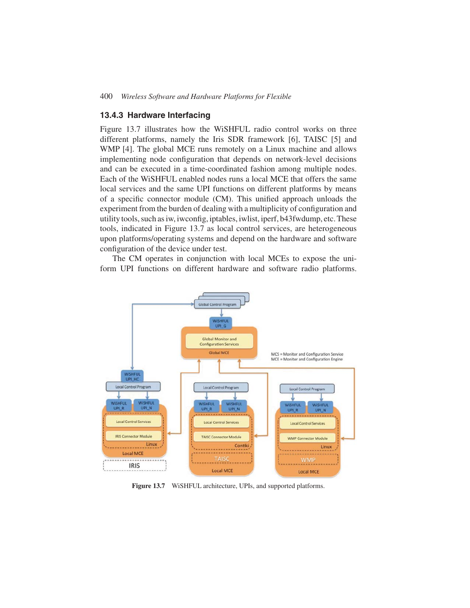#### **13.4.3 Hardware Interfacing**

Figure 13.7 illustrates how the WiSHFUL radio control works on three different platforms, namely the Iris SDR framework [6], TAISC [5] and WMP [4]. The global MCE runs remotely on a Linux machine and allows implementing node configuration that depends on network-level decisions and can be executed in a time-coordinated fashion among multiple nodes. Each of the WiSHFUL enabled nodes runs a local MCE that offers the same local services and the same UPI functions on different platforms by means of a specific connector module (CM). This unified approach unloads the experiment from the burden of dealing with a multiplicity of configuration and utility tools, such as iw, iwconfig, iptables, iwlist, iperf, b43fwdump, etc. These tools, indicated in Figure 13.7 as local control services, are heterogeneous upon platforms/operating systems and depend on the hardware and software configuration of the device under test.

The CM operates in conjunction with local MCEs to expose the uniform UPI functions on different hardware and software radio platforms.



**Figure 13.7** WiSHFUL architecture, UPIs, and supported platforms.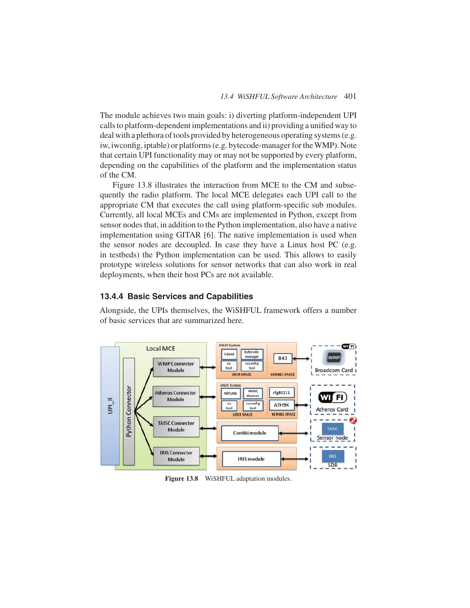The module achieves two main goals: i) diverting platform-independent UPI calls to platform-dependent implementations and ii) providing a unified way to deal with a plethora of tools provided by heterogeneous operating systems (e.g. iw, iwconfig, iptable) or platforms (e.g. bytecode-manager for theWMP). Note that certain UPI functionality may or may not be supported by every platform, depending on the capabilities of the platform and the implementation status of the CM.

Figure 13.8 illustrates the interaction from MCE to the CM and subsequently the radio platform. The local MCE delegates each UPI call to the appropriate CM that executes the call using platform-specific sub modules. Currently, all local MCEs and CMs are implemented in Python, except from sensor nodes that, in addition to the Python implementation, also have a native implementation using GITAR [6]. The native implementation is used when the sensor nodes are decoupled. In case they have a Linux host PC (e.g. in testbeds) the Python implementation can be used. This allows to easily prototype wireless solutions for sensor networks that can also work in real deployments, when their host PCs are not available.

## **13.4.4 Basic Services and Capabilities**

Alongside, the UPIs themselves, the WiSHFUL framework offers a number of basic services that are summarized here.



**Figure 13.8** WiSHFUL adaptation modules.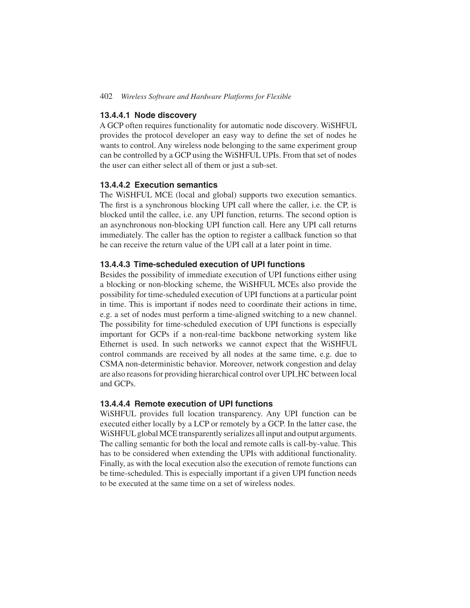## **13.4.4.1 Node discovery**

A GCP often requires functionality for automatic node discovery. WiSHFUL provides the protocol developer an easy way to define the set of nodes he wants to control. Any wireless node belonging to the same experiment group can be controlled by a GCP using the WiSHFUL UPIs. From that set of nodes the user can either select all of them or just a sub-set.

## **13.4.4.2 Execution semantics**

The WiSHFUL MCE (local and global) supports two execution semantics. The first is a synchronous blocking UPI call where the caller, i.e. the CP, is blocked until the callee, i.e. any UPI function, returns. The second option is an asynchronous non-blocking UPI function call. Here any UPI call returns immediately. The caller has the option to register a callback function so that he can receive the return value of the UPI call at a later point in time.

## **13.4.4.3 Time-scheduled execution of UPI functions**

Besides the possibility of immediate execution of UPI functions either using a blocking or non-blocking scheme, the WiSHFUL MCEs also provide the possibility for time-scheduled execution of UPI functions at a particular point in time. This is important if nodes need to coordinate their actions in time, e.g. a set of nodes must perform a time-aligned switching to a new channel. The possibility for time-scheduled execution of UPI functions is especially important for GCPs if a non-real-time backbone networking system like Ethernet is used. In such networks we cannot expect that the WiSHFUL control commands are received by all nodes at the same time, e.g. due to CSMA non-deterministic behavior. Moreover, network congestion and delay are also reasons for providing hierarchical control over UPI HC between local and GCPs.

#### **13.4.4.4 Remote execution of UPI functions**

WiSHFUL provides full location transparency. Any UPI function can be executed either locally by a LCP or remotely by a GCP. In the latter case, the WiSHFUL global MCE transparently serializes all input and output arguments. The calling semantic for both the local and remote calls is call-by-value. This has to be considered when extending the UPIs with additional functionality. Finally, as with the local execution also the execution of remote functions can be time-scheduled. This is especially important if a given UPI function needs to be executed at the same time on a set of wireless nodes.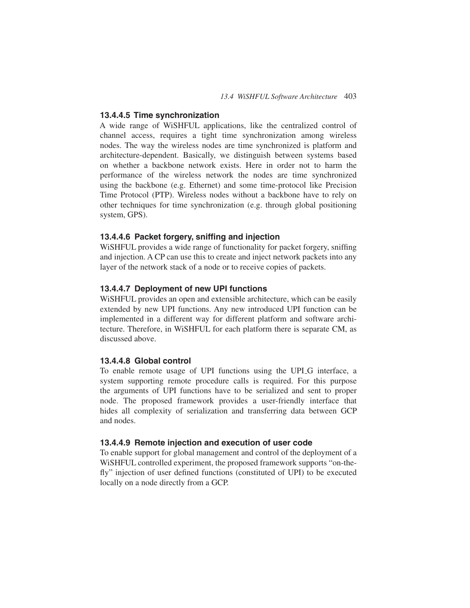## **13.4.4.5 Time synchronization**

A wide range of WiSHFUL applications, like the centralized control of channel access, requires a tight time synchronization among wireless nodes. The way the wireless nodes are time synchronized is platform and architecture-dependent. Basically, we distinguish between systems based on whether a backbone network exists. Here in order not to harm the performance of the wireless network the nodes are time synchronized using the backbone (e.g. Ethernet) and some time-protocol like Precision Time Protocol (PTP). Wireless nodes without a backbone have to rely on other techniques for time synchronization (e.g. through global positioning system, GPS).

## **13.4.4.6 Packet forgery, sniffing and injection**

WiSHFUL provides a wide range of functionality for packet forgery, sniffing and injection. A CP can use this to create and inject network packets into any layer of the network stack of a node or to receive copies of packets.

## **13.4.4.7 Deployment of new UPI functions**

WiSHFUL provides an open and extensible architecture, which can be easily extended by new UPI functions. Any new introduced UPI function can be implemented in a different way for different platform and software architecture. Therefore, in WiSHFUL for each platform there is separate CM, as discussed above.

## **13.4.4.8 Global control**

To enable remote usage of UPI functions using the UPI G interface, a system supporting remote procedure calls is required. For this purpose the arguments of UPI functions have to be serialized and sent to proper node. The proposed framework provides a user-friendly interface that hides all complexity of serialization and transferring data between GCP and nodes.

## **13.4.4.9 Remote injection and execution of user code**

To enable support for global management and control of the deployment of a WiSHFUL controlled experiment, the proposed framework supports "on-thefly" injection of user defined functions (constituted of UPI) to be executed locally on a node directly from a GCP.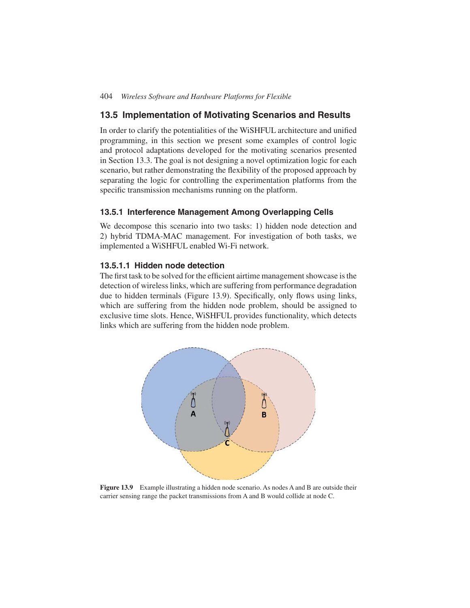## **13.5 Implementation of Motivating Scenarios and Results**

In order to clarify the potentialities of the WiSHFUL architecture and unified programming, in this section we present some examples of control logic and protocol adaptations developed for the motivating scenarios presented in Section 13.3. The goal is not designing a novel optimization logic for each scenario, but rather demonstrating the flexibility of the proposed approach by separating the logic for controlling the experimentation platforms from the specific transmission mechanisms running on the platform.

## **13.5.1 Interference Management Among Overlapping Cells**

We decompose this scenario into two tasks: 1) hidden node detection and 2) hybrid TDMA-MAC management. For investigation of both tasks, we implemented a WiSHFUL enabled Wi-Fi network.

## **13.5.1.1 Hidden node detection**

The first task to be solved for the efficient airtime management showcase is the detection of wireless links, which are suffering from performance degradation due to hidden terminals (Figure 13.9). Specifically, only flows using links, which are suffering from the hidden node problem, should be assigned to exclusive time slots. Hence, WiSHFUL provides functionality, which detects links which are suffering from the hidden node problem.



**Figure 13.9** Example illustrating a hidden node scenario. As nodes A and B are outside their carrier sensing range the packet transmissions from A and B would collide at node C.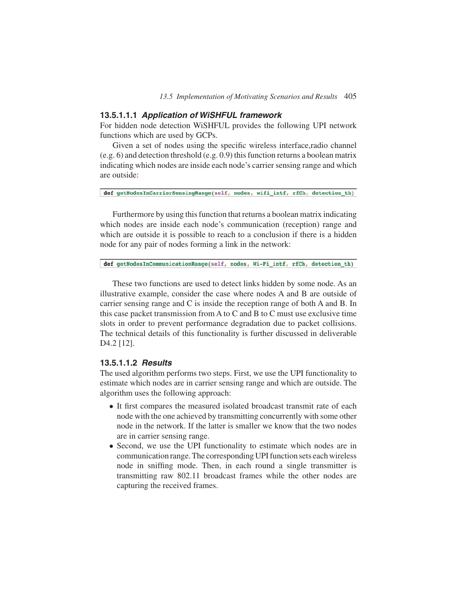#### **13.5.1.1.1** *Application of WiSHFUL framework*

For hidden node detection WiSHFUL provides the following UPI network functions which are used by GCPs.

Given a set of nodes using the specific wireless interface,radio channel (e.g. 6) and detection threshold (e.g. 0.9) this function returns a boolean matrix indicating which nodes are inside each node's carrier sensing range and which are outside:

def getNodesInCarrierSensingRange(self, nodes, wifi\_intf, rfCh, detection\_th)

Furthermore by using this function that returns a boolean matrix indicating which nodes are inside each node's communication (reception) range and which are outside it is possible to reach to a conclusion if there is a hidden node for any pair of nodes forming a link in the network:

def getNodesInCommunicationRange(self, nodes, Wi-Fi intf, rfCh, detection th)

These two functions are used to detect links hidden by some node. As an illustrative example, consider the case where nodes A and B are outside of carrier sensing range and C is inside the reception range of both A and B. In this case packet transmission from A to C and B to C must use exclusive time slots in order to prevent performance degradation due to packet collisions. The technical details of this functionality is further discussed in deliverable D4.2 [12].

## **13.5.1.1.2** *Results*

The used algorithm performs two steps. First, we use the UPI functionality to estimate which nodes are in carrier sensing range and which are outside. The algorithm uses the following approach:

- It first compares the measured isolated broadcast transmit rate of each node with the one achieved by transmitting concurrently with some other node in the network. If the latter is smaller we know that the two nodes are in carrier sensing range.
- Second, we use the UPI functionality to estimate which nodes are in communication range. The corresponding UPI function sets each wireless node in sniffing mode. Then, in each round a single transmitter is transmitting raw 802.11 broadcast frames while the other nodes are capturing the received frames.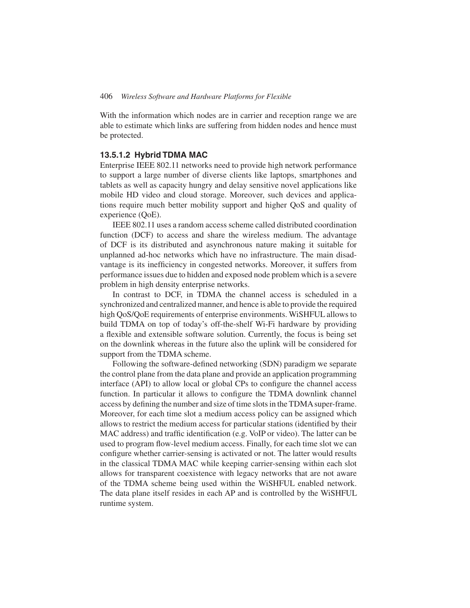With the information which nodes are in carrier and reception range we are able to estimate which links are suffering from hidden nodes and hence must be protected.

## **13.5.1.2 Hybrid TDMA MAC**

Enterprise IEEE 802.11 networks need to provide high network performance to support a large number of diverse clients like laptops, smartphones and tablets as well as capacity hungry and delay sensitive novel applications like mobile HD video and cloud storage. Moreover, such devices and applications require much better mobility support and higher QoS and quality of experience (QoE).

IEEE 802.11 uses a random access scheme called distributed coordination function (DCF) to access and share the wireless medium. The advantage of DCF is its distributed and asynchronous nature making it suitable for unplanned ad-hoc networks which have no infrastructure. The main disadvantage is its inefficiency in congested networks. Moreover, it suffers from performance issues due to hidden and exposed node problem which is a severe problem in high density enterprise networks.

In contrast to DCF, in TDMA the channel access is scheduled in a synchronized and centralized manner, and hence is able to provide the required high QoS/QoE requirements of enterprise environments. WiSHFUL allows to build TDMA on top of today's off-the-shelf Wi-Fi hardware by providing a flexible and extensible software solution. Currently, the focus is being set on the downlink whereas in the future also the uplink will be considered for support from the TDMA scheme.

Following the software-defined networking (SDN) paradigm we separate the control plane from the data plane and provide an application programming interface (API) to allow local or global CPs to configure the channel access function. In particular it allows to configure the TDMA downlink channel access by defining the number and size of time slots in the TDMA super-frame. Moreover, for each time slot a medium access policy can be assigned which allows to restrict the medium access for particular stations (identified by their MAC address) and traffic identification (e.g. VoIP or video). The latter can be used to program flow-level medium access. Finally, for each time slot we can configure whether carrier-sensing is activated or not. The latter would results in the classical TDMA MAC while keeping carrier-sensing within each slot allows for transparent coexistence with legacy networks that are not aware of the TDMA scheme being used within the WiSHFUL enabled network. The data plane itself resides in each AP and is controlled by the WiSHFUL runtime system.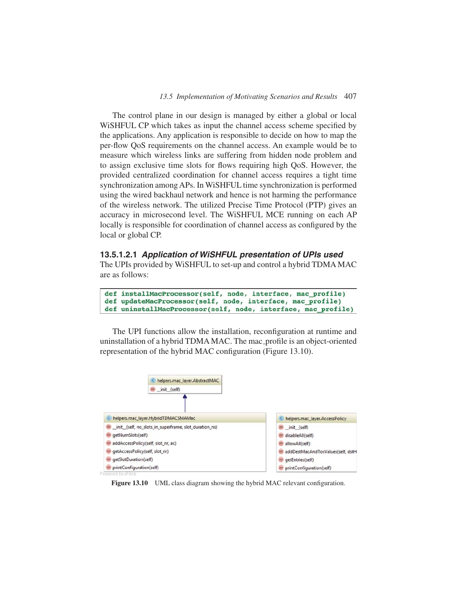The control plane in our design is managed by either a global or local WiSHFUL CP which takes as input the channel access scheme specified by the applications. Any application is responsible to decide on how to map the per-flow QoS requirements on the channel access. An example would be to measure which wireless links are suffering from hidden node problem and to assign exclusive time slots for flows requiring high QoS. However, the provided centralized coordination for channel access requires a tight time synchronization among APs. In WiSHFUL time synchronization is performed using the wired backhaul network and hence is not harming the performance of the wireless network. The utilized Precise Time Protocol (PTP) gives an accuracy in microsecond level. The WiSHFUL MCE running on each AP locally is responsible for coordination of channel access as configured by the local or global CP.

## **13.5.1.2.1** *Application of WiSHFUL presentation of UPIs used*

The UPIs provided by WiSHFUL to set-up and control a hybrid TDMA MAC are as follows:

def installMacProcessor(self, node, interface, mac\_profile) def updateMacProcessor(self, node, interface, mac profile) def uninstallMacProcessor(self, node, interface, mac\_profile)

The UPI functions allow the installation, reconfiguration at runtime and uninstallation of a hybrid TDMA MAC. The mac profile is an object-oriented representation of the hybrid MAC configuration (Figure 13.10).



Figure 13.10 UML class diagram showing the hybrid MAC relevant configuration.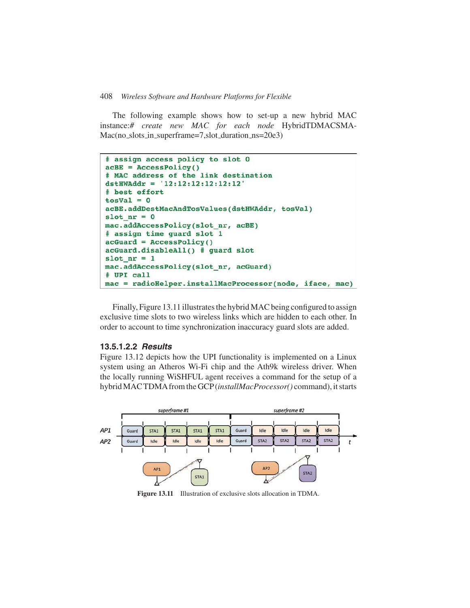The following example shows how to set-up a new hybrid MAC instance:*# create new MAC for each node* HybridTDMACSMA-Mac(no\_slots\_in\_superframe=7,slot\_duration\_ns=20e3)

```
# assign access policy to slot 0
acBE = AccessPolicy()# MAC address of the link destination
dstHWAddr = '12:12:12:12:12:12# best effort
tosVal = 0acBE.addDestMacAndTosValues(dstHWAddr, tosVal)
slot nr = 0mac.addAccessPolicy(slot nr, acBE)
# assign time guard slot 1
accGuard = AccessPolicy()acGuard.disableAll() # guard slot
slot nr = 1mac.addAccessPolicy(slot_nr, acGuard)
# UPI call
mac = radioHelper.installMacProcessor(node, iface, mac)
```
Finally, Figure 13.11 illustrates the hybrid MAC being configured to assign exclusive time slots to two wireless links which are hidden to each other. In order to account to time synchronization inaccuracy guard slots are added.

## **13.5.1.2.2** *Results*

Figure 13.12 depicts how the UPI functionality is implemented on a Linux system using an Atheros Wi-Fi chip and the Ath9k wireless driver. When the locally running WiSHFUL agent receives a command for the setup of a hybrid MAC TDMA from the GCP (*installMacProcessor()* command), it starts



Figure 13.11 Illustration of exclusive slots allocation in TDMA.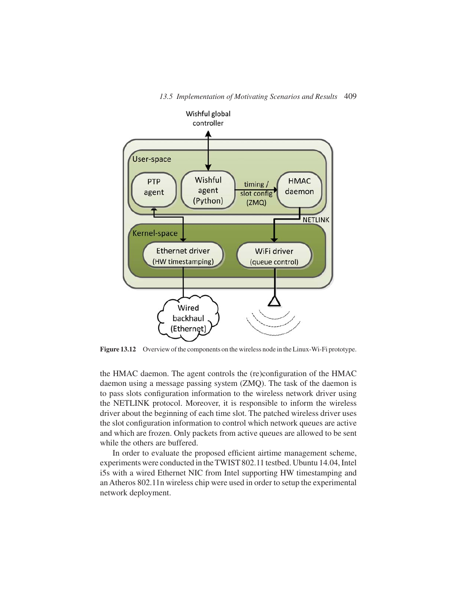

Figure 13.12 Overview of the components on the wireless node in the Linux-Wi-Fi prototype.

the HMAC daemon. The agent controls the (re)configuration of the HMAC daemon using a message passing system (ZMQ). The task of the daemon is to pass slots configuration information to the wireless network driver using the NETLINK protocol. Moreover, it is responsible to inform the wireless driver about the beginning of each time slot. The patched wireless driver uses the slot configuration information to control which network queues are active and which are frozen. Only packets from active queues are allowed to be sent while the others are buffered.

In order to evaluate the proposed efficient airtime management scheme, experiments were conducted in the TWIST 802.11 testbed. Ubuntu 14.04, Intel i5s with a wired Ethernet NIC from Intel supporting HW timestamping and an Atheros 802.11n wireless chip were used in order to setup the experimental network deployment.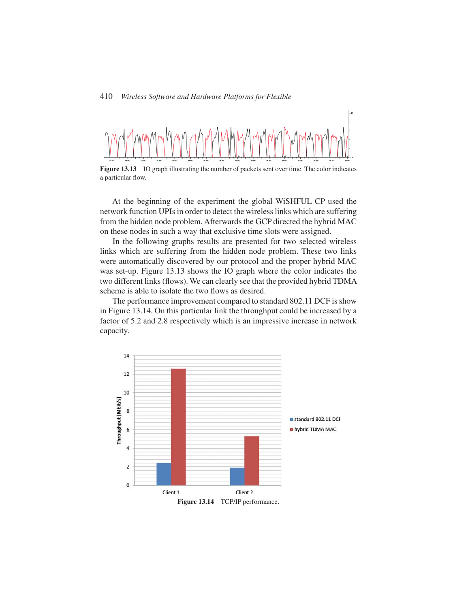

Figure 13.13 IO graph illustrating the number of packets sent over time. The color indicates a particular flow.

At the beginning of the experiment the global WiSHFUL CP used the network function UPIs in order to detect the wireless links which are suffering from the hidden node problem. Afterwards the GCP directed the hybrid MAC on these nodes in such a way that exclusive time slots were assigned.

In the following graphs results are presented for two selected wireless links which are suffering from the hidden node problem. These two links were automatically discovered by our protocol and the proper hybrid MAC was set-up. Figure 13.13 shows the IO graph where the color indicates the two different links (flows). We can clearly see that the provided hybrid TDMA scheme is able to isolate the two flows as desired.

The performance improvement compared to standard 802.11 DCF is show in Figure 13.14. On this particular link the throughput could be increased by a factor of 5.2 and 2.8 respectively which is an impressive increase in network capacity.

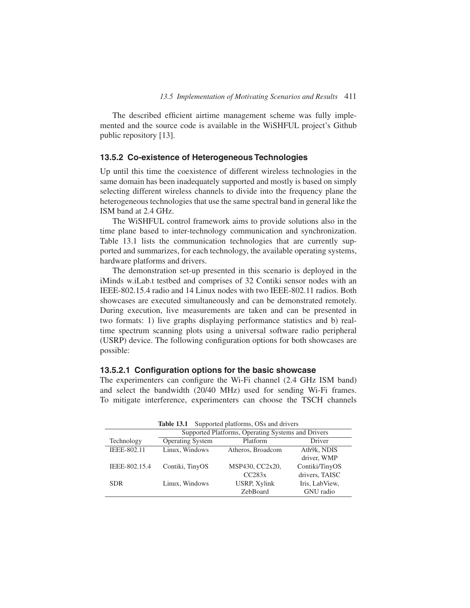The described efficient airtime management scheme was fully implemented and the source code is available in the WiSHFUL project's Github public repository [13].

#### **13.5.2 Co-existence of Heterogeneous Technologies**

Up until this time the coexistence of different wireless technologies in the same domain has been inadequately supported and mostly is based on simply selecting different wireless channels to divide into the frequency plane the heterogeneous technologies that use the same spectral band in general like the ISM band at 2.4 GHz.

The WiSHFUL control framework aims to provide solutions also in the time plane based to inter-technology communication and synchronization. Table 13.1 lists the communication technologies that are currently supported and summarizes, for each technology, the available operating systems, hardware platforms and drivers.

The demonstration set-up presented in this scenario is deployed in the iMinds w.iLab.t testbed and comprises of 32 Contiki sensor nodes with an IEEE-802.15.4 radio and 14 Linux nodes with two IEEE-802.11 radios. Both showcases are executed simultaneously and can be demonstrated remotely. During execution, live measurements are taken and can be presented in two formats: 1) live graphs displaying performance statistics and b) realtime spectrum scanning plots using a universal software radio peripheral (USRP) device. The following configuration options for both showcases are possible:

#### **13.5.2.1 Configuration options for the basic showcase**

The experimenters can configure the Wi-Fi channel (2.4 GHz ISM band) and select the bandwidth (20/40 MHz) used for sending Wi-Fi frames. To mitigate interference, experimenters can choose the TSCH channels

|               | Supported platforms, OSs and drivers<br><b>Table 13.1</b> |                     |                |
|---------------|-----------------------------------------------------------|---------------------|----------------|
|               | Supported Platforms, Operating Systems and Drivers        |                     |                |
| Technology    | Operating System                                          | Platform            | Driver         |
| IEEE-802.11   | Linux, Windows                                            | Atheros, Broadcom   | Ath9k, NDIS    |
|               |                                                           |                     | driver, WMP    |
| IEEE-802.15.4 | Contiki, TinyOS                                           | MSP430, CC2x20,     | Contiki/TinyOS |
|               |                                                           | CC283x              | drivers, TAISC |
| <b>SDR</b>    | Linux, Windows                                            | <b>USRP, Xylink</b> | Iris, LabView, |
|               |                                                           | ZebBoard            | GNU radio      |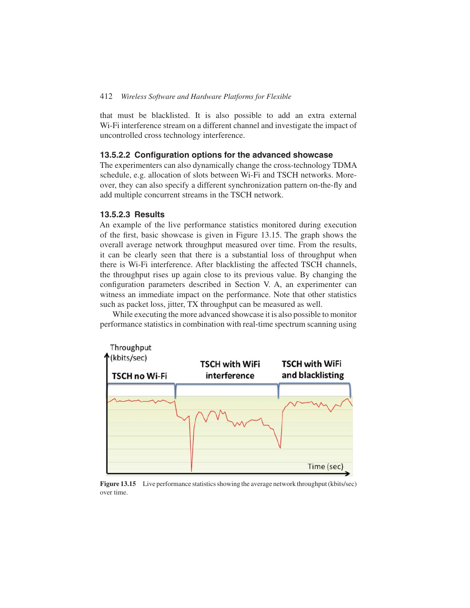that must be blacklisted. It is also possible to add an extra external Wi-Fi interference stream on a different channel and investigate the impact of uncontrolled cross technology interference.

## **13.5.2.2 Configuration options for the advanced showcase**

The experimenters can also dynamically change the cross-technology TDMA schedule, e.g. allocation of slots between Wi-Fi and TSCH networks. Moreover, they can also specify a different synchronization pattern on-the-fly and add multiple concurrent streams in the TSCH network.

## **13.5.2.3 Results**

An example of the live performance statistics monitored during execution of the first, basic showcase is given in Figure 13.15. The graph shows the overall average network throughput measured over time. From the results, it can be clearly seen that there is a substantial loss of throughput when there is Wi-Fi interference. After blacklisting the affected TSCH channels, the throughput rises up again close to its previous value. By changing the configuration parameters described in Section V. A, an experimenter can witness an immediate impact on the performance. Note that other statistics such as packet loss, jitter, TX throughput can be measured as well.

While executing the more advanced showcase it is also possible to monitor performance statistics in combination with real-time spectrum scanning using



**Figure 13.15** Live performance statistics showing the average network throughput (kbits/sec) over time.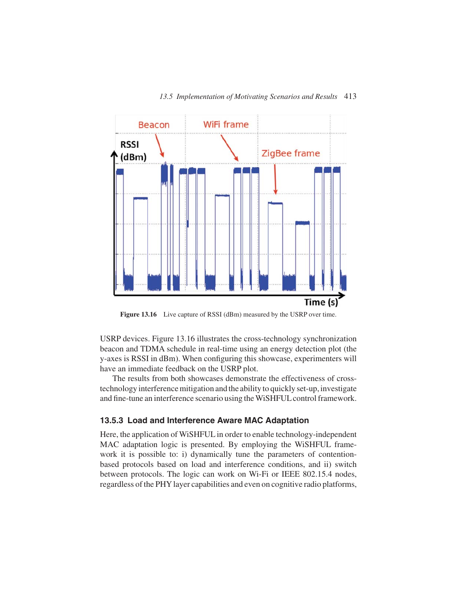

**Figure 13.16** Live capture of RSSI (dBm) measured by the USRP over time.

USRP devices. Figure 13.16 illustrates the cross-technology synchronization beacon and TDMA schedule in real-time using an energy detection plot (the y-axes is RSSI in dBm). When configuring this showcase, experimenters will have an immediate feedback on the USRP plot.

The results from both showcases demonstrate the effectiveness of crosstechnology interference mitigation and the ability to quickly set-up, investigate and fine-tune an interference scenario using the WiSHFUL control framework.

## **13.5.3 Load and Interference Aware MAC Adaptation**

Here, the application of WiSHFUL in order to enable technology-independent MAC adaptation logic is presented. By employing the WiSHFUL framework it is possible to: i) dynamically tune the parameters of contentionbased protocols based on load and interference conditions, and ii) switch between protocols. The logic can work on Wi-Fi or IEEE 802.15.4 nodes, regardless of the PHYlayer capabilities and even on cognitive radio platforms,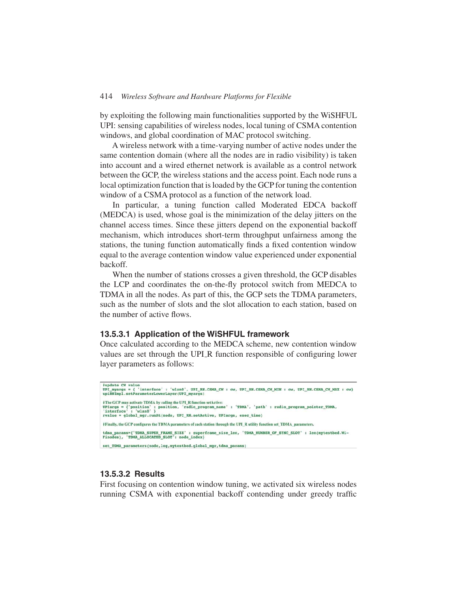by exploiting the following main functionalities supported by the WiSHFUL UPI: sensing capabilities of wireless nodes, local tuning of CSMA contention windows, and global coordination of MAC protocol switching.

A wireless network with a time-varying number of active nodes under the same contention domain (where all the nodes are in radio visibility) is taken into account and a wired ethernet network is available as a control network between the GCP, the wireless stations and the access point. Each node runs a local optimization function that is loaded by the GCP for tuning the contention window of a CSMA protocol as a function of the network load.

In particular, a tuning function called Moderated EDCA backoff (MEDCA) is used, whose goal is the minimization of the delay jitters on the channel access times. Since these jitters depend on the exponential backoff mechanism, which introduces short-term throughput unfairness among the stations, the tuning function automatically finds a fixed contention window equal to the average contention window value experienced under exponential backoff.

When the number of stations crosses a given threshold, the GCP disables the LCP and coordinates the on-the-fly protocol switch from MEDCA to TDMA in all the nodes. As part of this, the GCP sets the TDMA parameters, such as the number of slots and the slot allocation to each station, based on the number of active flows.

## **13.5.3.1 Application of the WiSHFUL framework**

Once calculated according to the MEDCA scheme, new contention window values are set through the UPI<sub>-R</sub> function responsible of configuring lower layer parameters as follows:

```
#update CW value<br>UPI_myargs = { 'interface' : 'wlan0', UPI_RN.CSMA_CW : cw, UPI_RN.CSMA_CM_MIN : cw, UPI_RN.CSMA_CM_MAX : cw}<br>upiRNImpl.setParameterLowerLayer(UPI_myargs)
#The GCP may activate TDMA by calling the UPI R function setActive:
#The GCP may activate TDMA by calling the UPI_R function setActive:<br>UPIargs = {'position' : position, 'radio_program_name' : 'TDMA', 'path' : radio_program_pointer_TDMA,<br>'interface' : 'wlan0' }<br>rvalue = global_mgr.runAt(no
#Finally, the GCP configures the TDMA parameters of each station through the UPI_R utility function set_TDMA_parameters.
tdma_params={'TDMA_SUPER_FRAME_SIZE' : superframe_size_len, 'TDMA_NUMBER_OF_SYNC_SLOT' : len(mytestbed.Wi-<br>Finodes), 'TDMA_ALLOCATED_SLOT': node_index}
set_TDMA_parameters(node,log,mytestbed.global_mgr,tdma_params)
```
## **13.5.3.2 Results**

First focusing on contention window tuning, we activated six wireless nodes running CSMA with exponential backoff contending under greedy traffic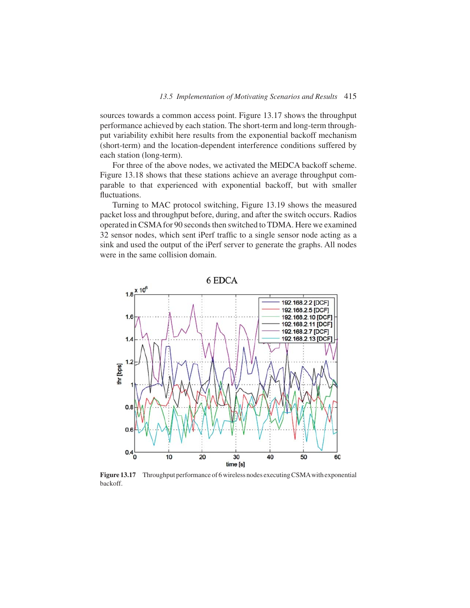sources towards a common access point. Figure 13.17 shows the throughput performance achieved by each station. The short-term and long-term throughput variability exhibit here results from the exponential backoff mechanism (short-term) and the location-dependent interference conditions suffered by each station (long-term).

For three of the above nodes, we activated the MEDCA backoff scheme. Figure 13.18 shows that these stations achieve an average throughput comparable to that experienced with exponential backoff, but with smaller fluctuations.

Turning to MAC protocol switching, Figure 13.19 shows the measured packet loss and throughput before, during, and after the switch occurs. Radios operated in CSMA for 90 seconds then switched to TDMA. Here we examined 32 sensor nodes, which sent iPerf traffic to a single sensor node acting as a sink and used the output of the iPerf server to generate the graphs. All nodes were in the same collision domain.



**Figure 13.17** Throughput performance of 6 wireless nodes executing CSMAwith exponential backoff.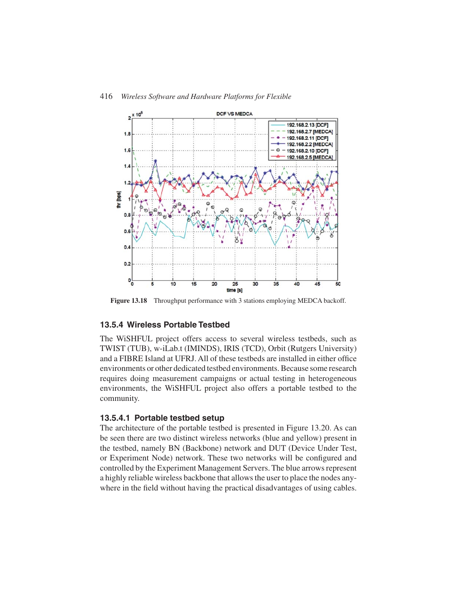

416 *Wireless Software and Hardware Platforms for Flexible*

**Figure 13.18** Throughput performance with 3 stations employing MEDCA backoff.

## **13.5.4 Wireless Portable Testbed**

The WiSHFUL project offers access to several wireless testbeds, such as TWIST (TUB), w-iLab.t (IMINDS), IRIS (TCD), Orbit (Rutgers University) and a FIBRE Island at UFRJ. All of these testbeds are installed in either office environments or other dedicated testbed environments. Because some research requires doing measurement campaigns or actual testing in heterogeneous environments, the WiSHFUL project also offers a portable testbed to the community.

## **13.5.4.1 Portable testbed setup**

The architecture of the portable testbed is presented in Figure 13.20. As can be seen there are two distinct wireless networks (blue and yellow) present in the testbed, namely BN (Backbone) network and DUT (Device Under Test, or Experiment Node) network. These two networks will be configured and controlled by the Experiment Management Servers. The blue arrows represent a highly reliable wireless backbone that allows the user to place the nodes anywhere in the field without having the practical disadvantages of using cables.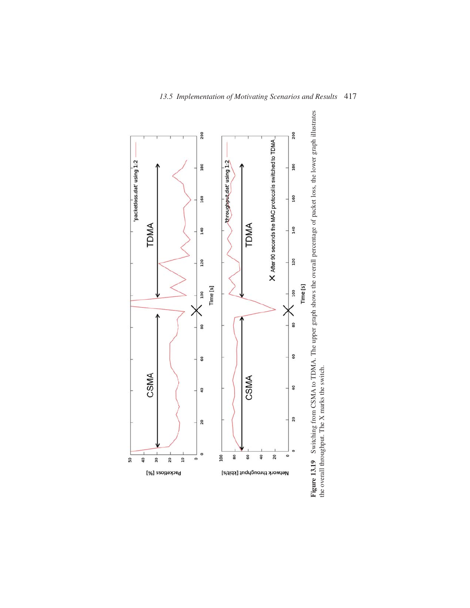

Figure 13.19 Switching from CSMA to TDMA. The upper graph shows the overall percentage of packet loss, the lower graph illustrates the overall throughput. The X marks the switch. **Figure 13.19** Switching from CSMA to TDMA. The upper graph shows the overall percentage of packet loss, the lower graph illustrates the overall throughput. The X marks the switch.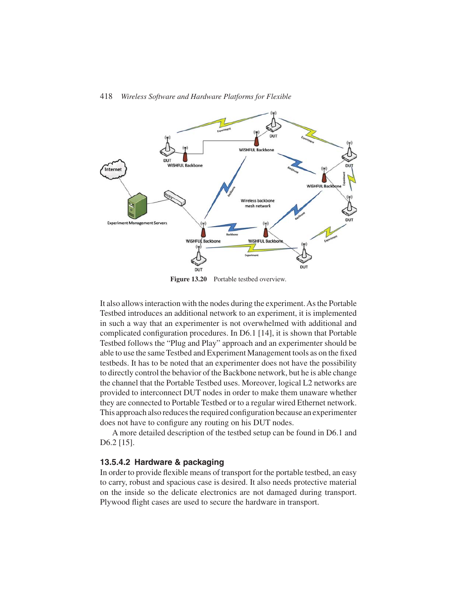

Figure 13.20 Portable testbed overview.

It also allows interaction with the nodes during the experiment.As the Portable Testbed introduces an additional network to an experiment, it is implemented in such a way that an experimenter is not overwhelmed with additional and complicated configuration procedures. In D6.1 [14], it is shown that Portable Testbed follows the "Plug and Play" approach and an experimenter should be able to use the same Testbed and Experiment Management tools as on the fixed testbeds. It has to be noted that an experimenter does not have the possibility to directly control the behavior of the Backbone network, but he is able change the channel that the Portable Testbed uses. Moreover, logical L2 networks are provided to interconnect DUT nodes in order to make them unaware whether they are connected to Portable Testbed or to a regular wired Ethernet network. This approach also reduces the required configuration because an experimenter does not have to configure any routing on his DUT nodes.

A more detailed description of the testbed setup can be found in D6.1 and D6.2 [15].

## **13.5.4.2 Hardware & packaging**

In order to provide flexible means of transport for the portable testbed, an easy to carry, robust and spacious case is desired. It also needs protective material on the inside so the delicate electronics are not damaged during transport. Plywood flight cases are used to secure the hardware in transport.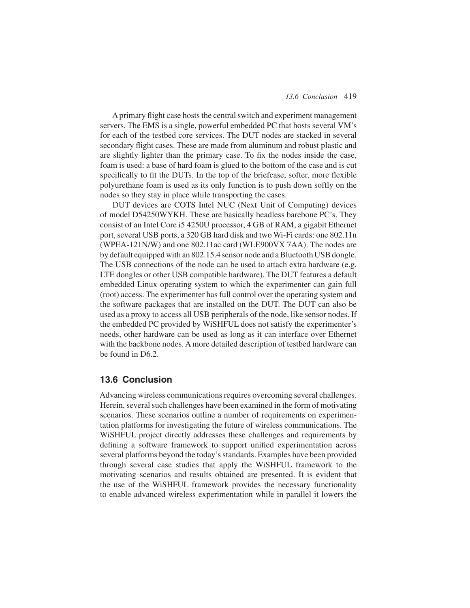#### *13.6 Conclusion* 419

A primary flight case hosts the central switch and experiment management servers. The EMS is a single, powerful embedded PC that hosts several VM's for each of the testbed core services. The DUT nodes are stacked in several secondary flight cases. These are made from aluminum and robust plastic and are slightly lighter than the primary case. To fix the nodes inside the case, foam is used: a base of hard foam is glued to the bottom of the case and is cut specifically to fit the DUTs. In the top of the briefcase, softer, more flexible polyurethane foam is used as its only function is to push down softly on the nodes so they stay in place while transporting the cases.

DUT devices are COTS Intel NUC (Next Unit of Computing) devices of model D54250WYKH. These are basically headless barebone PC's. They consist of an Intel Core i5 4250U processor, 4 GB of RAM, a gigabit Ethernet port, several USB ports, a 320 GB hard disk and two Wi-Fi cards: one 802.11n (WPEA-121N/W) and one 802.11ac card (WLE900VX 7AA). The nodes are by default equipped with an 802.15.4 sensor node and a Bluetooth USB dongle. The USB connections of the node can be used to attach extra hardware (e.g. LTE dongles or other USB compatible hardware). The DUT features a default embedded Linux operating system to which the experimenter can gain full (root) access. The experimenter has full control over the operating system and the software packages that are installed on the DUT. The DUT can also be used as a proxy to access all USB peripherals of the node, like sensor nodes. If the embedded PC provided by WiSHFUL does not satisfy the experimenter's needs, other hardware can be used as long as it can interface over Ethernet with the backbone nodes. A more detailed description of testbed hardware can be found in D6.2.

## **13.6 Conclusion**

Advancing wireless communications requires overcoming several challenges. Herein, several such challenges have been examined in the form of motivating scenarios. These scenarios outline a number of requirements on experimentation platforms for investigating the future of wireless communications. The WiSHFUL project directly addresses these challenges and requirements by defining a software framework to support unified experimentation across several platforms beyond the today's standards. Examples have been provided through several case studies that apply the WiSHFUL framework to the motivating scenarios and results obtained are presented. It is evident that the use of the WiSHFUL framework provides the necessary functionality to enable advanced wireless experimentation while in parallel it lowers the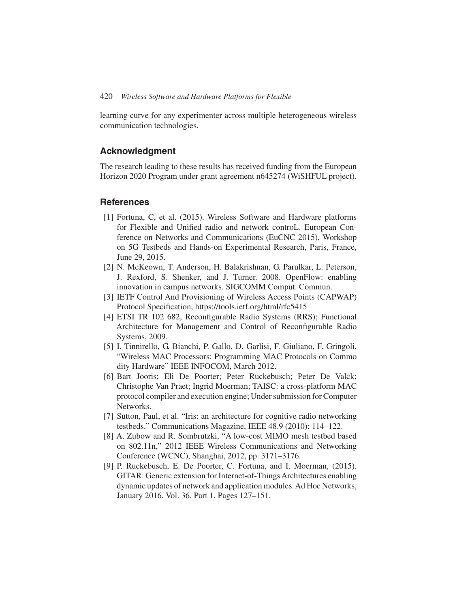learning curve for any experimenter across multiple heterogeneous wireless communication technologies.

## **Acknowledgment**

The research leading to these results has received funding from the European Horizon 2020 Program under grant agreement n645274 (WiSHFUL project).

## **References**

- [1] Fortuna, C, et al. (2015). Wireless Software and Hardware platforms for Flexible and Unified radio and network controL. European Conference on Networks and Communications (EuCNC 2015), Workshop on 5G Testbeds and Hands-on Experimental Research, Paris, France, June 29, 2015.
- [2] N. McKeown, T. Anderson, H. Balakrishnan, G. Parulkar, L. Peterson, J. Rexford, S. Shenker, and J. Turner. 2008. OpenFlow: enabling innovation in campus networks. SIGCOMM Comput. Commun.
- [3] IETF Control And Provisioning of Wireless Access Points (CAPWAP) Protocol Specification, https://tools.ietf.org/html/rfc5415
- [4] ETSI TR 102 682, Reconfigurable Radio Systems (RRS); Functional Architecture for Management and Control of Reconfigurable Radio Systems, 2009.
- [5] I. Tinnirello, G. Bianchi, P. Gallo, D. Garlisi, F. Giuliano, F. Gringoli, "Wireless MAC Processors: Programming MAC Protocols on Commo dity Hardware" IEEE INFOCOM, March 2012.
- [6] Bart Jooris; Eli De Poorter; Peter Ruckebusch; Peter De Valck; Christophe Van Praet; Ingrid Moerman; TAISC: a cross-platform MAC protocol compiler and execution engine; Under submission for Computer Networks.
- [7] Sutton, Paul, et al. "Iris: an architecture for cognitive radio networking testbeds." Communications Magazine, IEEE 48.9 (2010): 114–122.
- [8] A. Zubow and R. Sombrutzki, "A low-cost MIMO mesh testbed based on 802.11n," 2012 IEEE Wireless Communications and Networking Conference (WCNC), Shanghai, 2012, pp. 3171–3176.
- [9] P. Ruckebusch, E. De Poorter, C. Fortuna, and I. Moerman, (2015). GITAR: Generic extension for Internet-of-Things Architectures enabling dynamic updates of network and application modules.Ad Hoc Networks, January 2016, Vol. 36, Part 1, Pages 127–151.